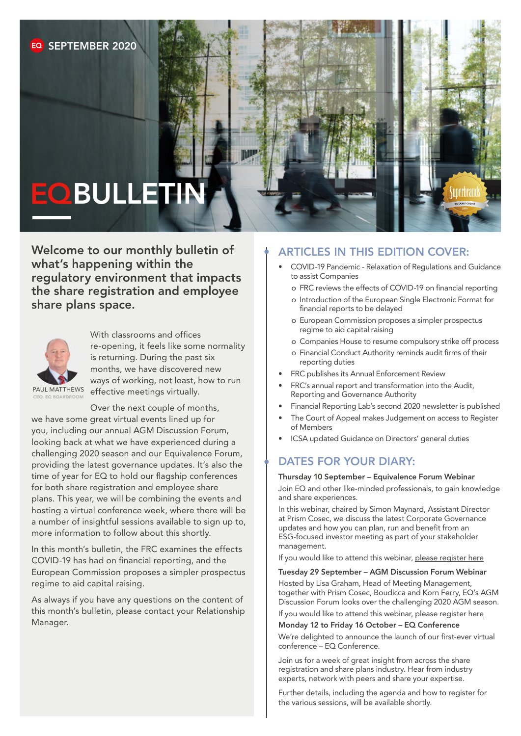# **EO BULLETIN**

Welcome to our monthly bulletin of what's happening within the regulatory environment that impacts the share registration and employee share plans space.



With classrooms and offices re-opening, it feels like some normality is returning. During the past six months, we have discovered new ways of working, not least, how to run effective meetings virtually.

CEO, EQ BOARDROOM

Over the next couple of months, we have some great virtual events lined up for you, including our annual AGM Discussion Forum, looking back at what we have experienced during a challenging 2020 season and our Equivalence Forum, providing the latest governance updates. It's also the time of year for EQ to hold our flagship conferences for both share registration and employee share plans. This year, we will be combining the events and hosting a virtual conference week, where there will be a number of insightful sessions available to sign up to, more information to follow about this shortly.

In this month's bulletin, the FRC examines the effects COVID-19 has had on financial reporting, and the European Commission proposes a simpler prospectus regime to aid capital raising.

As always if you have any questions on the content of this month's bulletin, please contact your Relationship Manager.

#### ARTICLES IN THIS EDITION COVER:

- COVID-19 Pandemic Relaxation of Regulations and Guidance to assist Companies
	- o FRC reviews the effects of COVID-19 on financial reporting
	- o Introduction of the European Single Electronic Format for financial reports to be delayed
	- o European Commission proposes a simpler prospectus regime to aid capital raising
	- o Companies House to resume compulsory strike off process
	- o Financial Conduct Authority reminds audit firms of their reporting duties
- FRC publishes its Annual Enforcement Review
- FRC's annual report and transformation into the Audit, Reporting and Governance Authority
- Financial Reporting Lab's second 2020 newsletter is published
- The Court of Appeal makes Judgement on access to Register of Members
- ICSA updated Guidance on Directors' general duties

#### DATES FOR YOUR DIARY:

#### Thursday 10 September – Equivalence Forum Webinar

Join EQ and other like-minded professionals, to gain knowledge and share experiences.

In this webinar, chaired by Simon Maynard, Assistant Director at Prism Cosec, we discuss the latest Corporate Governance updates and how you can plan, run and benefit from an ESG-focused investor meeting as part of your stakeholder management.

If you would like to attend this webinar, [please register here](https://attendee.gotowebinar.com/register/9131112425034277904)

#### Tuesday 29 September – AGM Discussion Forum Webinar

Hosted by Lisa Graham, Head of Meeting Management, together with Prism Cosec, Boudicca and Korn Ferry, EQ's AGM Discussion Forum looks over the challenging 2020 AGM season. If you would like to attend this webinar, [please register here](https://register.gotowebinar.com/register/2090353432999796491)

#### Monday 12 to Friday 16 October – EQ Conference

We're delighted to announce the launch of our first-ever virtual conference – EQ Conference.

Join us for a week of great insight from across the share registration and share plans industry. Hear from industry experts, network with peers and share your expertise.

Further details, including the agenda and how to register for the various sessions, will be available shortly.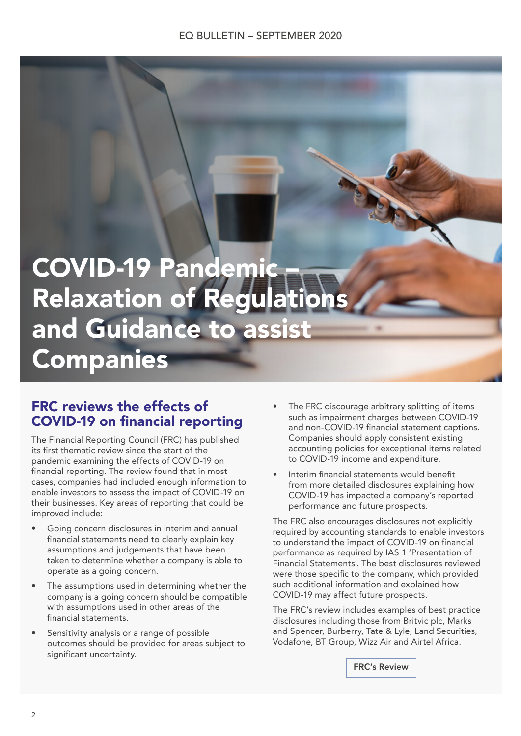## **COVID-19 Pandem Relaxation of Regulation** and Guidance to assist Companies

#### FRC reviews the effects of COVID-19 on financial reporting

The Financial Reporting Council (FRC) has published its first thematic review since the start of the pandemic examining the effects of COVID-19 on financial reporting. The review found that in most cases, companies had included enough information to enable investors to assess the impact of COVID-19 on their businesses. Key areas of reporting that could be improved include:

- Going concern disclosures in interim and annual financial statements need to clearly explain key assumptions and judgements that have been taken to determine whether a company is able to operate as a going concern.
- The assumptions used in determining whether the company is a going concern should be compatible with assumptions used in other areas of the financial statements.
- Sensitivity analysis or a range of possible outcomes should be provided for areas subject to significant uncertainty.
- The FRC discourage arbitrary splitting of items such as impairment charges between COVID-19 and non-COVID-19 financial statement captions. Companies should apply consistent existing accounting policies for exceptional items related to COVID-19 income and expenditure.
- Interim financial statements would benefit from more detailed disclosures explaining how COVID-19 has impacted a company's reported performance and future prospects.

The FRC also encourages disclosures not explicitly required by accounting standards to enable investors to understand the impact of COVID-19 on financial performance as required by IAS 1 'Presentation of Financial Statements'. The best disclosures reviewed were those specific to the company, which provided such additional information and explained how COVID-19 may affect future prospects.

The FRC's review includes examples of best practice disclosures including those from Britvic plc, Marks and Spencer, Burberry, Tate & Lyle, Land Securities, Vodafone, BT Group, Wizz Air and Airtel Africa.

[FRC's Review](https://www.frc.org.uk/getattachment/03838acd-facc-4a06-879c-a4682672a6d7/CRR-COVID-19-Thematic-Review-Jul-2020.pdf)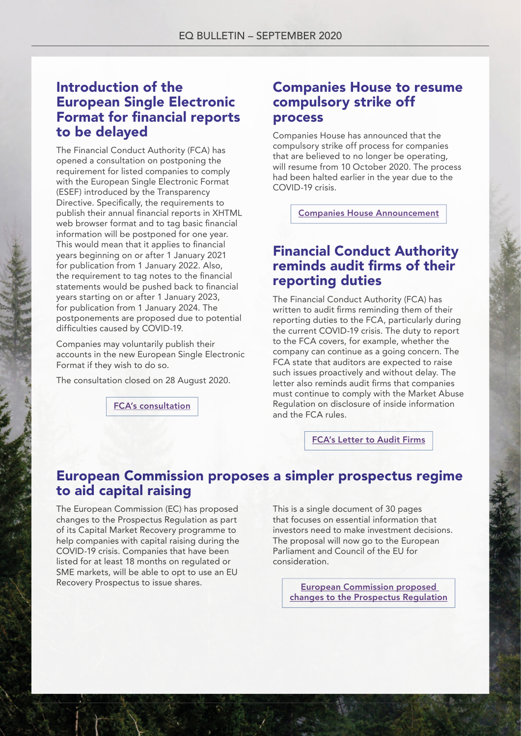#### Introduction of the European Single Electronic Format for financial reports to be delayed

The Financial Conduct Authority (FCA) has opened a consultation on postponing the requirement for listed companies to comply with the European Single Electronic Format (ESEF) introduced by the Transparency Directive. Specifically, the requirements to publish their annual financial reports in XHTML web browser format and to tag basic financial information will be postponed for one year. This would mean that it applies to financial years beginning on or after 1 January 2021 for publication from 1 January 2022. Also, the requirement to tag notes to the financial statements would be pushed back to financial years starting on or after 1 January 2023, for publication from 1 January 2024. The postponements are proposed due to potential difficulties caused by COVID-19.

Companies may voluntarily publish their accounts in the new European Single Electronic Format if they wish to do so.

The consultation closed on 28 August 2020.

[FCA's consultation](https://www.fca.org.uk/publication/consultation/cp20-12.pdf)

#### Companies House to resume compulsory strike off process

Companies House has announced that the compulsory strike off process for companies that are believed to no longer be operating, will resume from 10 October 2020. The process had been halted earlier in the year due to the COVID-19 crisis.

[Companies House Announcement](https://www.gov.uk/government/news/companies-house-to-resume-the-compulsory-strike-off-process?utm_source=f8ef8fe7-8efb-47e1-9eca-d7957e71db30&utm_medium=email&utm_campaign=govuk-notifications&utm_content=immediate)

### Financial Conduct Authority reminds audit firms of their reporting duties

The Financial Conduct Authority (FCA) has written to audit firms reminding them of their reporting duties to the FCA, particularly during the current COVID-19 crisis. The duty to report to the FCA covers, for example, whether the company can continue as a going concern. The FCA state that auditors are expected to raise such issues proactively and without delay. The letter also reminds audit firms that companies must continue to comply with the Market Abuse Regulation on disclosure of inside information and the FCA rules.

[FCA's Letter to Audit Firms](https://www.fca.org.uk/publication/correspondence/letter-to-fs-auditors-on-reporting-obligations.pdf)

#### European Commission proposes a simpler prospectus regime to aid capital raising

The European Commission (EC) has proposed changes to the Prospectus Regulation as part of its Capital Market Recovery programme to help companies with capital raising during the COVID-19 crisis. Companies that have been listed for at least 18 months on regulated or SME markets, will be able to opt to use an EU Recovery Prospectus to issue shares.

This is a single document of 30 pages that focuses on essential information that investors need to make investment decisions. The proposal will now go to the European Parliament and Council of the EU for consideration.

European Commission proposed changes to the Prospectus Regulation